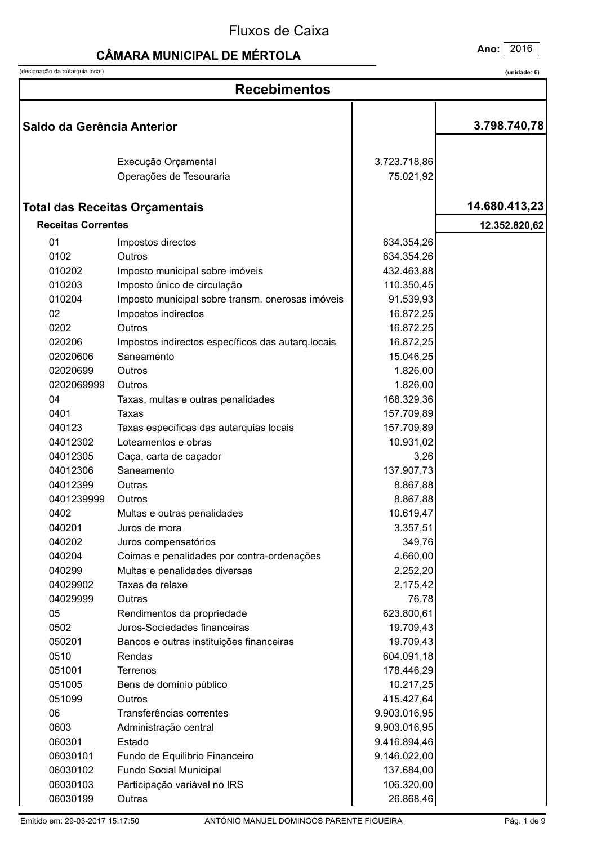# **CÂMARA MUNICIPAL DE MÉRTOLA**

(designação da autarquia local)

Ano: 2016

| <b>Recebimentos</b>        |                                                   |              |               |
|----------------------------|---------------------------------------------------|--------------|---------------|
| Saldo da Gerência Anterior |                                                   |              | 3.798.740,78  |
|                            | Execução Orçamental                               | 3.723.718,86 |               |
|                            | Operações de Tesouraria                           | 75.021,92    |               |
|                            |                                                   |              |               |
|                            | <b>Total das Receitas Orçamentais</b>             |              | 14.680.413,23 |
| <b>Receitas Correntes</b>  |                                                   |              | 12.352.820,62 |
| 01                         | Impostos directos                                 | 634.354,26   |               |
| 0102                       | Outros                                            | 634.354,26   |               |
| 010202                     | Imposto municipal sobre imóveis                   | 432.463,88   |               |
| 010203                     | Imposto único de circulação                       | 110.350,45   |               |
| 010204                     | Imposto municipal sobre transm. onerosas imóveis  | 91.539,93    |               |
| 02                         | Impostos indirectos                               | 16.872,25    |               |
| 0202                       | Outros                                            | 16.872,25    |               |
| 020206                     | Impostos indirectos específicos das autarq.locais | 16.872,25    |               |
| 02020606                   | Saneamento                                        | 15.046,25    |               |
| 02020699                   | Outros                                            | 1.826,00     |               |
| 0202069999                 | Outros                                            | 1.826,00     |               |
| 04                         | Taxas, multas e outras penalidades                | 168.329,36   |               |
| 0401                       | Taxas                                             | 157.709,89   |               |
| 040123                     | Taxas específicas das autarquias locais           | 157.709,89   |               |
| 04012302                   | Loteamentos e obras                               | 10.931,02    |               |
| 04012305                   | Caça, carta de caçador                            | 3,26         |               |
| 04012306                   | Saneamento                                        | 137.907,73   |               |
| 04012399                   | Outras                                            | 8.867,88     |               |
| 0401239999                 | Outros                                            | 8.867,88     |               |
| 0402                       | Multas e outras penalidades                       | 10.619,47    |               |
| 040201                     | Juros de mora                                     | 3.357,51     |               |
| 040202                     | Juros compensatórios                              | 349,76       |               |
| 040204                     | Coimas e penalidades por contra-ordenações        | 4.660,00     |               |
| 040299                     | Multas e penalidades diversas                     | 2.252,20     |               |
| 04029902                   | Taxas de relaxe                                   | 2.175,42     |               |
| 04029999                   | Outras                                            | 76,78        |               |
| 05                         | Rendimentos da propriedade                        | 623.800,61   |               |
| 0502                       | Juros-Sociedades financeiras                      | 19.709,43    |               |
| 050201                     | Bancos e outras instituições financeiras          | 19.709,43    |               |
| 0510                       | Rendas                                            | 604.091,18   |               |
| 051001                     | Terrenos                                          | 178.446,29   |               |
| 051005                     | Bens de domínio público                           | 10.217,25    |               |
| 051099                     | Outros                                            | 415.427,64   |               |
| 06                         | Transferências correntes                          | 9.903.016,95 |               |
| 0603                       | Administração central                             | 9.903.016,95 |               |
| 060301                     | Estado                                            | 9.416.894,46 |               |
| 06030101                   | Fundo de Equilibrio Financeiro                    | 9.146.022,00 |               |
| 06030102                   | Fundo Social Municipal                            | 137.684,00   |               |
| 06030103                   | Participação variável no IRS                      | 106.320,00   |               |
| 06030199                   | Outras                                            | 26.868,46    |               |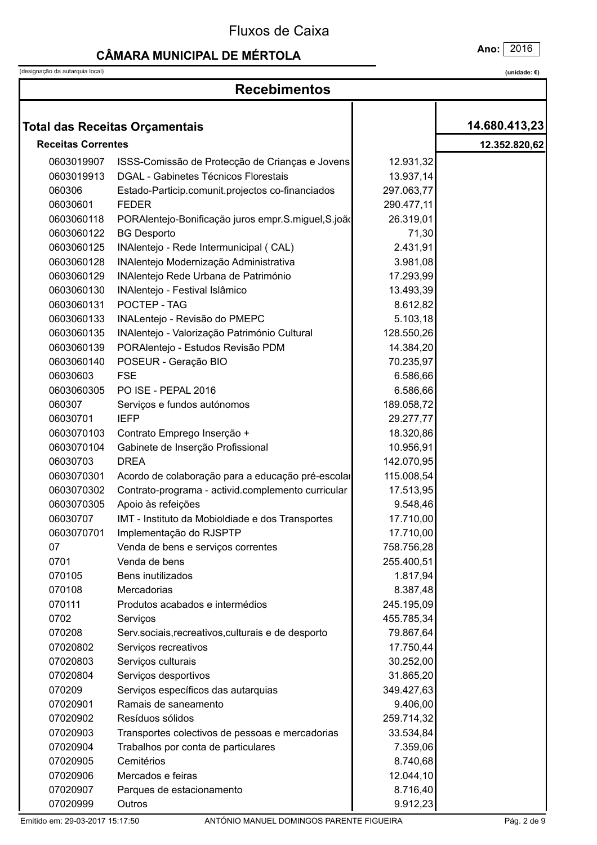#### **CÂMARA MUNICIPAL DE MÉRTOLA**

Ano: 2016

(designação da autarquia local)

|                           | <b>Recebimentos</b>                                |            |               |  |
|---------------------------|----------------------------------------------------|------------|---------------|--|
|                           |                                                    |            |               |  |
|                           | <b>Total das Receitas Orçamentais</b>              |            | 14.680.413,23 |  |
| <b>Receitas Correntes</b> |                                                    |            | 12.352.820,62 |  |
| 0603019907                | ISSS-Comissão de Protecção de Crianças e Jovens    | 12.931,32  |               |  |
| 0603019913                | <b>DGAL - Gabinetes Técnicos Florestais</b>        | 13.937,14  |               |  |
| 060306                    | Estado-Particip.comunit.projectos co-financiados   | 297.063,77 |               |  |
| 06030601                  | <b>FEDER</b>                                       | 290.477,11 |               |  |
| 0603060118                | PORAlentejo-Bonificação juros empr.S.miguel,S.joão | 26.319,01  |               |  |
| 0603060122                | <b>BG Desporto</b>                                 | 71,30      |               |  |
| 0603060125                | INAlentejo - Rede Intermunicipal (CAL)             | 2.431,91   |               |  |
| 0603060128                | INAlentejo Modernização Administrativa             | 3.981,08   |               |  |
| 0603060129                | INAlentejo Rede Urbana de Património               | 17.293,99  |               |  |
| 0603060130                | INAlentejo - Festival Islâmico                     | 13.493,39  |               |  |
| 0603060131                | POCTEP - TAG                                       | 8.612,82   |               |  |
| 0603060133                | INALentejo - Revisão do PMEPC                      | 5.103, 18  |               |  |
| 0603060135                | INAlentejo - Valorização Património Cultural       | 128.550,26 |               |  |
| 0603060139                | PORAlentejo - Estudos Revisão PDM                  | 14.384,20  |               |  |
| 0603060140                | POSEUR - Geração BIO                               | 70.235,97  |               |  |
| 06030603                  | <b>FSE</b>                                         | 6.586,66   |               |  |
| 0603060305                | PO ISE - PEPAL 2016                                | 6.586,66   |               |  |
| 060307                    | Serviços e fundos autónomos                        | 189.058,72 |               |  |
| 06030701                  | <b>IEFP</b>                                        | 29.277,77  |               |  |
| 0603070103                | Contrato Emprego Inserção +                        | 18.320,86  |               |  |
| 0603070104                | Gabinete de Inserção Profissional                  | 10.956,91  |               |  |
| 06030703                  | <b>DREA</b>                                        | 142.070,95 |               |  |
| 0603070301                | Acordo de colaboração para a educação pré-escolar  | 115.008,54 |               |  |
| 0603070302                | Contrato-programa - activid.complemento curricular | 17.513,95  |               |  |
| 0603070305                | Apoio às refeições                                 | 9.548,46   |               |  |
| 06030707                  | IMT - Instituto da Mobioldiade e dos Transportes   | 17.710,00  |               |  |
| 0603070701                | Implementação do RJSPTP                            | 17.710,00  |               |  |
| 07                        | Venda de bens e serviços correntes                 | 758.756,28 |               |  |
| 0701                      | Venda de bens                                      | 255.400,51 |               |  |
| 070105                    | Bens inutilizados                                  | 1.817,94   |               |  |
| 070108                    | Mercadorias                                        | 8.387,48   |               |  |
| 070111                    | Produtos acabados e intermédios                    | 245.195,09 |               |  |
| 0702                      | Serviços                                           | 455.785,34 |               |  |
| 070208                    | Serv.sociais, recreativos, culturais e de desporto | 79.867,64  |               |  |
| 07020802                  | Serviços recreativos                               | 17.750,44  |               |  |
| 07020803                  | Serviços culturais                                 | 30.252,00  |               |  |
| 07020804                  | Serviços desportivos                               | 31.865,20  |               |  |
| 070209                    | Serviços específicos das autarquias                | 349.427,63 |               |  |
| 07020901                  | Ramais de saneamento                               | 9.406,00   |               |  |
| 07020902                  | Resíduos sólidos                                   | 259.714,32 |               |  |
| 07020903                  | Transportes colectivos de pessoas e mercadorias    | 33.534,84  |               |  |
| 07020904                  | Trabalhos por conta de particulares                | 7.359,06   |               |  |
| 07020905                  | Cemitérios                                         | 8.740,68   |               |  |
| 07020906                  | Mercados e feiras                                  | 12.044,10  |               |  |
| 07020907                  | Parques de estacionamento                          | 8.716,40   |               |  |
| 07020999                  | Outros                                             | 9.912,23   |               |  |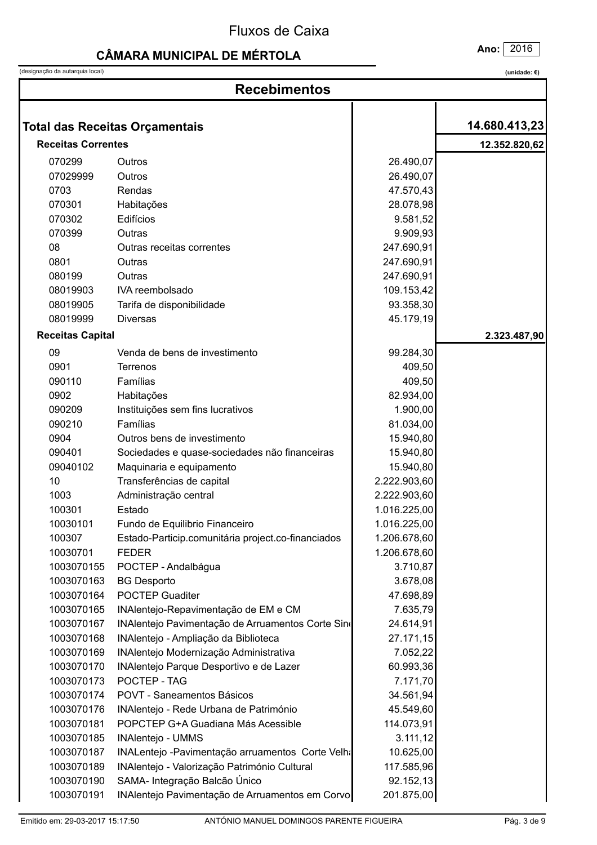# **CÂMARA MUNICIPAL DE MÉRTOLA**

(designação da autarquia local)

| (unidade: €) |  |
|--------------|--|
|              |  |

| <b>Recebimentos</b>       |                                                    |              |               |
|---------------------------|----------------------------------------------------|--------------|---------------|
|                           |                                                    |              |               |
|                           | <b>Total das Receitas Orçamentais</b>              |              | 14.680.413,23 |
| <b>Receitas Correntes</b> |                                                    |              | 12.352.820,62 |
| 070299                    | Outros                                             | 26.490,07    |               |
| 07029999                  | Outros                                             | 26.490,07    |               |
| 0703                      | Rendas                                             | 47.570,43    |               |
| 070301                    | Habitações                                         | 28.078,98    |               |
| 070302                    | Edifícios                                          | 9.581,52     |               |
| 070399                    | Outras                                             | 9.909,93     |               |
| 08                        | Outras receitas correntes                          | 247.690,91   |               |
| 0801                      | Outras                                             | 247.690,91   |               |
| 080199                    | Outras                                             | 247.690,91   |               |
| 08019903                  | IVA reembolsado                                    | 109.153,42   |               |
| 08019905                  | Tarifa de disponibilidade                          | 93.358,30    |               |
| 08019999                  | <b>Diversas</b>                                    | 45.179,19    |               |
| <b>Receitas Capital</b>   |                                                    |              | 2.323.487,90  |
| 09                        | Venda de bens de investimento                      | 99.284,30    |               |
| 0901                      | Terrenos                                           | 409,50       |               |
| 090110                    | Famílias                                           | 409,50       |               |
| 0902                      | Habitações                                         | 82.934,00    |               |
| 090209                    | Instituições sem fins lucrativos                   | 1.900,00     |               |
| 090210                    | Famílias                                           | 81.034,00    |               |
| 0904                      | Outros bens de investimento                        | 15.940,80    |               |
| 090401                    | Sociedades e quase-sociedades não financeiras      | 15.940,80    |               |
| 09040102                  | Maquinaria e equipamento                           | 15.940,80    |               |
| 10                        | Transferências de capital                          | 2.222.903,60 |               |
| 1003                      | Administração central                              | 2.222.903,60 |               |
| 100301                    | Estado                                             | 1.016.225,00 |               |
| 10030101                  | Fundo de Equilibrio Financeiro                     | 1.016.225,00 |               |
| 100307                    | Estado-Particip.comunitária project.co-financiados | 1.206.678,60 |               |
| 10030701                  | <b>FEDER</b>                                       | 1.206.678,60 |               |
| 1003070155                | POCTEP - Andalbágua                                | 3.710,87     |               |
| 1003070163                | <b>BG Desporto</b>                                 | 3.678,08     |               |
| 1003070164                | <b>POCTEP Guaditer</b>                             | 47.698,89    |               |
| 1003070165                | INAlentejo-Repavimentação de EM e CM               | 7.635,79     |               |
| 1003070167                | INAlentejo Pavimentação de Arruamentos Corte Sino  | 24.614,91    |               |
| 1003070168                | INAlentejo - Ampliação da Biblioteca               | 27.171,15    |               |
| 1003070169                | INAlentejo Modernização Administrativa             | 7.052,22     |               |
| 1003070170                | INAlentejo Parque Desportivo e de Lazer            | 60.993,36    |               |
| 1003070173                | POCTEP - TAG                                       | 7.171,70     |               |
| 1003070174                | POVT - Saneamentos Básicos                         | 34.561,94    |               |
| 1003070176                | INAlentejo - Rede Urbana de Património             | 45.549,60    |               |
| 1003070181                | POPCTEP G+A Guadiana Más Acessible                 | 114.073,91   |               |
| 1003070185                | INAlentejo - UMMS                                  | 3.111, 12    |               |
| 1003070187                | INALentejo - Pavimentação arruamentos Corte Velha  | 10.625,00    |               |
| 1003070189                | INAlentejo - Valorização Património Cultural       | 117.585,96   |               |
| 1003070190                | SAMA- Integração Balcão Único                      | 92.152,13    |               |
| 1003070191                | INAlentejo Pavimentação de Arruamentos em Corvo    | 201.875,00   |               |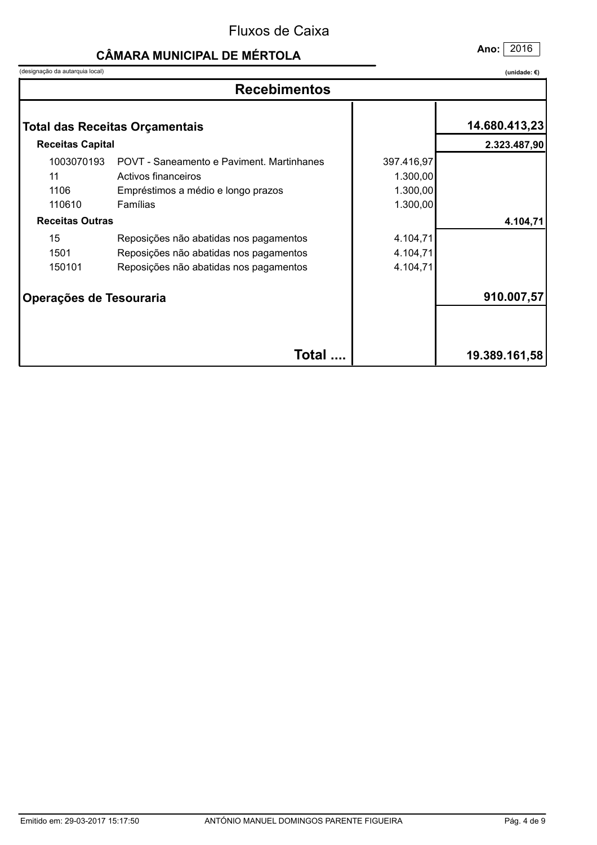# **CÂMARA MUNICIPAL DE MÉRTOLA**

(designação da autarquia local)

Ano: 2016

| <b>Recebimentos</b>                |                                                                                                                            |                                                |               |
|------------------------------------|----------------------------------------------------------------------------------------------------------------------------|------------------------------------------------|---------------|
|                                    | <b>Total das Receitas Orçamentais</b>                                                                                      |                                                | 14.680.413,23 |
| <b>Receitas Capital</b>            |                                                                                                                            |                                                | 2.323.487,90  |
| 1003070193<br>11<br>1106<br>110610 | POVT - Saneamento e Paviment, Martinhanes<br>Activos financeiros<br>Empréstimos a médio e longo prazos<br>Famílias         | 397.416,97<br>1.300,00<br>1.300,00<br>1.300,00 |               |
| <b>Receitas Outras</b>             |                                                                                                                            |                                                | 4.104,71      |
| 15<br>1501<br>150101               | Reposições não abatidas nos pagamentos<br>Reposições não abatidas nos pagamentos<br>Reposições não abatidas nos pagamentos | 4.104,71<br>4.104,71<br>4.104,71               |               |
| Operações de Tesouraria            |                                                                                                                            |                                                | 910.007,57    |
|                                    | Total                                                                                                                      |                                                | 19.389.161,58 |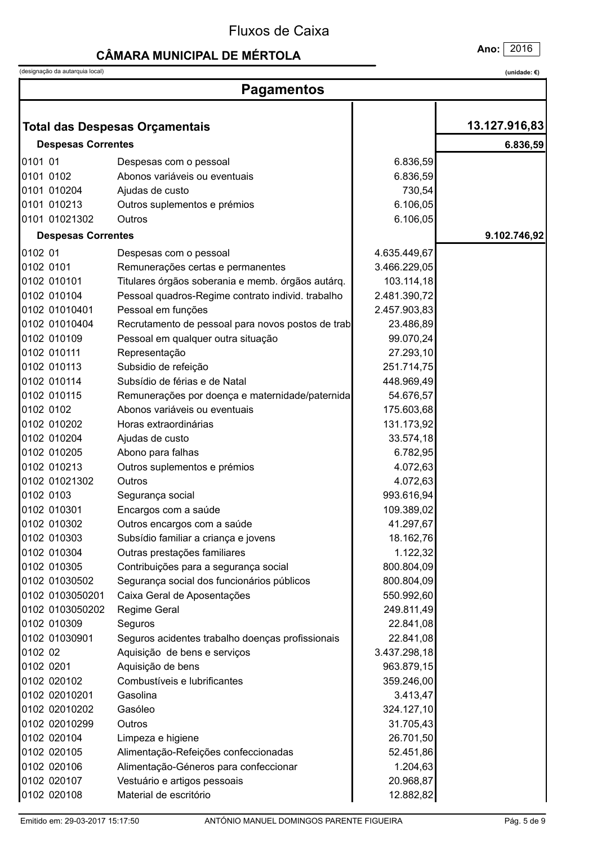## **CÂMARA MUNICIPAL DE MÉRTOLA**

(designação da autarquia local)

|         | (designação da autarquia local) |                                                   |              | (unidade: $\epsilon$ ) |
|---------|---------------------------------|---------------------------------------------------|--------------|------------------------|
|         | <b>Pagamentos</b>               |                                                   |              |                        |
|         |                                 |                                                   |              |                        |
|         |                                 | <b>Total das Despesas Orçamentais</b>             |              | 13.127.916,83          |
|         | <b>Despesas Correntes</b>       |                                                   |              | 6.836,59               |
| 0101 01 |                                 | Despesas com o pessoal                            | 6.836,59     |                        |
|         | 0101 0102                       | Abonos variáveis ou eventuais                     | 6.836,59     |                        |
|         | 0101 010204                     | Ajudas de custo                                   | 730,54       |                        |
|         | 0101 010213                     | Outros suplementos e prémios                      | 6.106,05     |                        |
|         | 0101 01021302                   | Outros                                            | 6.106,05     |                        |
|         | <b>Despesas Correntes</b>       |                                                   |              | 9.102.746,92           |
| 0102 01 |                                 | Despesas com o pessoal                            | 4.635.449,67 |                        |
|         | 0102 0101                       | Remunerações certas e permanentes                 | 3.466.229,05 |                        |
|         | 0102 010101                     | Titulares órgãos soberania e memb. órgãos autárq. | 103.114,18   |                        |
|         | 0102 010104                     | Pessoal quadros-Regime contrato individ. trabalho | 2.481.390,72 |                        |
|         | 0102 01010401                   | Pessoal em funções                                | 2.457.903,83 |                        |
|         | 0102 01010404                   | Recrutamento de pessoal para novos postos de trab | 23.486,89    |                        |
|         | 0102 010109                     | Pessoal em qualquer outra situação                | 99.070,24    |                        |
|         | 0102 010111                     | Representação                                     | 27.293,10    |                        |
|         | 0102 010113                     | Subsidio de refeição                              | 251.714,75   |                        |
|         | 0102 010114                     | Subsídio de férias e de Natal                     | 448.969,49   |                        |
|         | 0102 010115                     | Remunerações por doença e maternidade/paternida   | 54.676,57    |                        |
|         | 0102 0102                       | Abonos variáveis ou eventuais                     | 175.603,68   |                        |
|         | 0102 010202                     | Horas extraordinárias                             | 131.173,92   |                        |
|         | 0102 010204                     | Ajudas de custo                                   | 33.574,18    |                        |
|         | 0102 010205                     | Abono para falhas                                 | 6.782,95     |                        |
|         | 0102 010213                     | Outros suplementos e prémios                      | 4.072,63     |                        |
|         | 0102 01021302                   | Outros                                            | 4.072,63     |                        |
|         | 0102 0103                       | Segurança social                                  | 993.616,94   |                        |
|         | 0102 010301                     | Encargos com a saúde                              | 109.389,02   |                        |
|         | 0102 010302                     | Outros encargos com a saúde                       | 41.297,67    |                        |
|         | 0102 010303                     | Subsídio familiar a criança e jovens              | 18.162,76    |                        |
|         | 0102 010304                     | Outras prestações familiares                      | 1.122,32     |                        |
|         | 0102 010305                     | Contribuições para a segurança social             | 800.804,09   |                        |
|         | 0102 01030502                   | Segurança social dos funcionários públicos        | 800.804,09   |                        |
|         | 0102 0103050201                 | Caixa Geral de Aposentações                       | 550.992,60   |                        |
|         | 0102 0103050202                 | Regime Geral                                      | 249.811,49   |                        |
|         | 0102 010309                     | Seguros                                           | 22.841,08    |                        |
|         | 0102 01030901                   | Seguros acidentes trabalho doenças profissionais  | 22.841,08    |                        |
| 0102 02 |                                 | Aquisição de bens e serviços                      | 3.437.298,18 |                        |
|         | 0102 0201                       | Aquisição de bens                                 | 963.879,15   |                        |
|         | 0102 020102                     | Combustíveis e lubrificantes                      | 359.246,00   |                        |
|         | 0102 02010201                   | Gasolina                                          | 3.413,47     |                        |
|         | 0102 02010202                   | Gasóleo                                           | 324.127,10   |                        |
|         | 0102 02010299                   | Outros                                            | 31.705,43    |                        |
|         | 0102 020104                     | Limpeza e higiene                                 | 26.701,50    |                        |
|         | 0102 020105                     | Alimentação-Refeições confeccionadas              | 52.451,86    |                        |
|         | 0102 020106                     | Alimentação-Géneros para confeccionar             | 1.204,63     |                        |
|         | 0102 020107                     | Vestuário e artigos pessoais                      | 20.968,87    |                        |
|         | 0102 020108                     | Material de escritório                            | 12.882,82    |                        |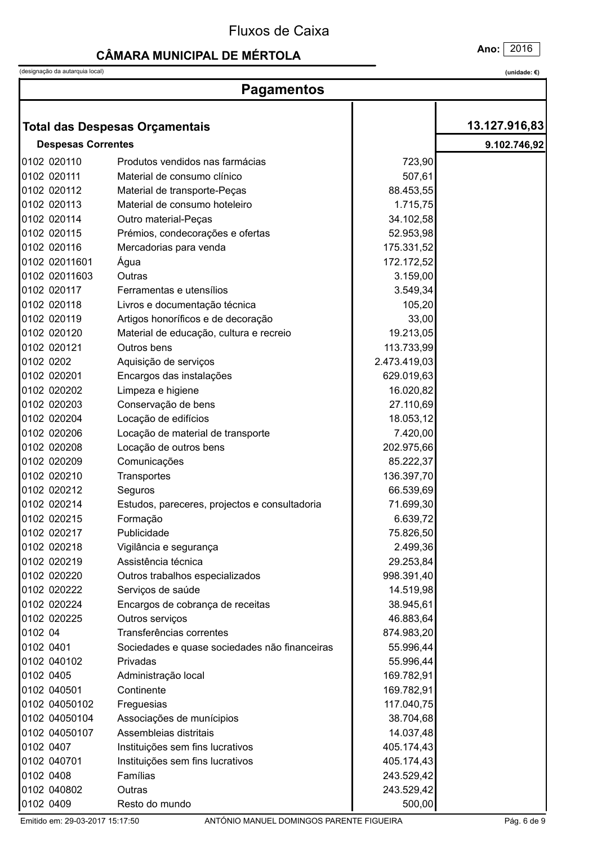## **CÂMARA MUNICIPAL DE MÉRTOLA**

(designação da autarquia local)

(unidade:  $\epsilon$ )

Ano: 2016

| <b>Pagamentos</b>         |                                               |              |               |
|---------------------------|-----------------------------------------------|--------------|---------------|
|                           |                                               |              | 13.127.916,83 |
|                           | <b>Total das Despesas Orçamentais</b>         |              |               |
| <b>Despesas Correntes</b> |                                               |              | 9.102.746,92  |
| 0102 020110               | Produtos vendidos nas farmácias               | 723,90       |               |
| 0102 020111               | Material de consumo clínico                   | 507,61       |               |
| 0102 020112               | Material de transporte-Peças                  | 88.453,55    |               |
| 0102 020113               | Material de consumo hoteleiro                 | 1.715,75     |               |
| 0102 020114               | Outro material-Peças                          | 34.102,58    |               |
| 0102 020115               | Prémios, condecorações e ofertas              | 52.953,98    |               |
| 0102 020116               | Mercadorias para venda                        | 175.331,52   |               |
| 0102 02011601             | Água                                          | 172.172,52   |               |
| 0102 02011603             | Outras                                        | 3.159,00     |               |
| 0102 020117               | Ferramentas e utensílios                      | 3.549,34     |               |
| 0102 020118               | Livros e documentação técnica                 | 105,20       |               |
| 0102 020119               | Artigos honoríficos e de decoração            | 33,00        |               |
| 0102 020120               | Material de educação, cultura e recreio       | 19.213,05    |               |
| 0102 020121               | Outros bens                                   | 113.733,99   |               |
| 0102 0202                 | Aquisição de serviços                         | 2.473.419,03 |               |
| 0102 020201               | Encargos das instalações                      | 629.019,63   |               |
| 0102 020202               | Limpeza e higiene                             | 16.020,82    |               |
| 0102 020203               | Conservação de bens                           | 27.110,69    |               |
| 0102 020204               | Locação de edifícios                          | 18.053,12    |               |
| 0102 020206               | Locação de material de transporte             | 7.420,00     |               |
| 0102 020208               | Locação de outros bens                        | 202.975,66   |               |
| 0102 020209               | Comunicações                                  | 85.222,37    |               |
| 0102 020210               | Transportes                                   | 136.397,70   |               |
| 0102 020212               | Seguros                                       | 66.539,69    |               |
| 0102 020214               | Estudos, pareceres, projectos e consultadoria | 71.699,30    |               |
| 0102 020215               | Formação                                      | 6.639,72     |               |
| 0102 020217               | Publicidade                                   | 75.826,50    |               |
| 0102 020218               | Vigilância e segurança                        | 2.499,36     |               |
| 0102 020219               | Assistência técnica                           | 29.253,84    |               |
| 0102 020220               | Outros trabalhos especializados               | 998.391,40   |               |
| 0102 020222               | Serviços de saúde                             | 14.519,98    |               |
| 0102 020224               | Encargos de cobrança de receitas              | 38.945,61    |               |
| 0102 020225               | Outros serviços                               | 46.883,64    |               |
| 0102 04                   | Transferências correntes                      | 874.983,20   |               |
| 0102 0401                 | Sociedades e quase sociedades não financeiras | 55.996,44    |               |
| 0102 040102               | Privadas                                      | 55.996,44    |               |
| 0102 0405                 | Administração local                           | 169.782,91   |               |
| 0102 040501               | Continente                                    | 169.782,91   |               |
| 0102 04050102             | Freguesias                                    | 117.040,75   |               |
| 0102 04050104             | Associações de munícipios                     | 38.704,68    |               |
| 0102 04050107             | Assembleias distritais                        | 14.037,48    |               |
| 0102 0407                 | Instituições sem fins lucrativos              | 405.174,43   |               |
| 0102 040701               | Instituições sem fins lucrativos              | 405.174,43   |               |
| 0102 0408                 | Famílias                                      | 243.529,42   |               |
| 0102 040802               | Outras                                        | 243.529,42   |               |
| 0102 0409                 | Resto do mundo                                | 500,00       |               |

Emitido em: 29-03-2017 15:17:50

ANTÓNIO MANUEL DOMINGOS PARENTE FIGUEIRA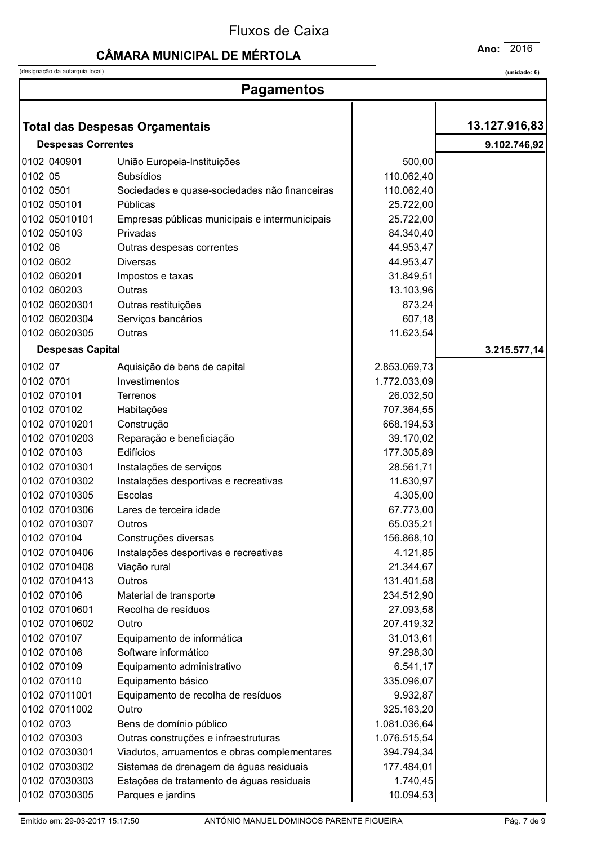## **CÂMARA MUNICIPAL DE MÉRTOLA**

(designação da autarquia local)

Ano: 2016

| <b>Pagamentos</b>         |                                                            |                        |               |  |
|---------------------------|------------------------------------------------------------|------------------------|---------------|--|
|                           |                                                            |                        | 13.127.916,83 |  |
|                           | <b>Total das Despesas Orçamentais</b>                      |                        |               |  |
| <b>Despesas Correntes</b> |                                                            |                        | 9.102.746,92  |  |
| 0102 040901               | União Europeia-Instituições                                | 500,00                 |               |  |
| 0102 05                   | Subsídios                                                  | 110.062,40             |               |  |
| 0102 0501<br>0102 050101  | Sociedades e quase-sociedades não financeiras<br>Públicas  | 110.062,40             |               |  |
| 0102 05010101             |                                                            | 25.722,00              |               |  |
| 0102 050103               | Empresas públicas municipais e intermunicipais<br>Privadas | 25.722,00              |               |  |
| 0102 06                   |                                                            | 84.340,40<br>44.953,47 |               |  |
| 0102 0602                 | Outras despesas correntes<br><b>Diversas</b>               | 44.953,47              |               |  |
| 0102 060201               |                                                            | 31.849,51              |               |  |
| 0102 060203               | Impostos e taxas<br>Outras                                 | 13.103,96              |               |  |
| 0102 06020301             | Outras restituições                                        | 873,24                 |               |  |
| 0102 06020304             | Serviços bancários                                         | 607,18                 |               |  |
| 0102 06020305             | Outras                                                     | 11.623,54              |               |  |
|                           |                                                            |                        |               |  |
| <b>Despesas Capital</b>   |                                                            |                        | 3.215.577,14  |  |
| 0102 07                   | Aquisição de bens de capital                               | 2.853.069,73           |               |  |
| 0102 0701                 | Investimentos                                              | 1.772.033,09           |               |  |
| 0102 070101               | <b>Terrenos</b>                                            | 26.032,50              |               |  |
| 0102 070102               | Habitações                                                 | 707.364,55             |               |  |
| 0102 07010201             | Construção                                                 | 668.194,53             |               |  |
| 0102 07010203             | Reparação e beneficiação                                   | 39.170,02              |               |  |
| 0102 070103               | Edifícios                                                  | 177.305,89             |               |  |
| 0102 07010301             | Instalações de serviços                                    | 28.561,71              |               |  |
| 0102 07010302             | Instalações desportivas e recreativas                      | 11.630,97              |               |  |
| 0102 07010305             | Escolas                                                    | 4.305,00               |               |  |
| 0102 07010306             | Lares de terceira idade                                    | 67.773,00              |               |  |
| 0102 07010307             | Outros                                                     | 65.035,21              |               |  |
| 0102 070104               | Construções diversas                                       | 156.868,10             |               |  |
| 0102 07010406             | Instalações desportivas e recreativas                      | 4.121,85               |               |  |
| 0102 07010408             | Viação rural                                               | 21.344,67              |               |  |
| 0102 07010413             | Outros                                                     | 131.401,58             |               |  |
| 0102 070106               | Material de transporte                                     | 234.512,90             |               |  |
| 0102 07010601             | Recolha de resíduos                                        | 27.093,58              |               |  |
| 0102 07010602             | Outro                                                      | 207.419,32             |               |  |
| 0102 070107               | Equipamento de informática                                 | 31.013,61              |               |  |
| 0102 070108               | Software informático                                       | 97.298,30              |               |  |
| 0102 070109               | Equipamento administrativo                                 | 6.541,17               |               |  |
| 0102 070110               | Equipamento básico                                         | 335.096,07             |               |  |
| 0102 07011001             | Equipamento de recolha de resíduos                         | 9.932,87               |               |  |
| 0102 07011002             | Outro                                                      | 325.163,20             |               |  |
| 0102 0703                 | Bens de domínio público                                    | 1.081.036,64           |               |  |
| 0102 070303               | Outras construções e infraestruturas                       | 1.076.515,54           |               |  |
| 0102 07030301             | Viadutos, arruamentos e obras complementares               | 394.794,34             |               |  |
| 0102 07030302             | Sistemas de drenagem de águas residuais                    | 177.484,01             |               |  |
| 0102 07030303             | Estações de tratamento de águas residuais                  | 1.740,45               |               |  |
| 0102 07030305             | Parques e jardins                                          | 10.094,53              |               |  |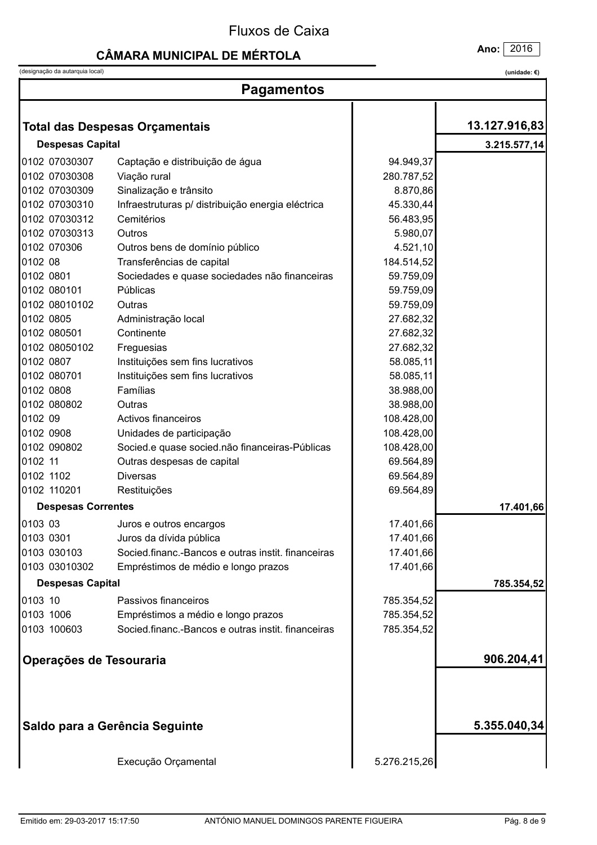#### **CÂMARA MUNICIPAL DE MÉRTOLA**

(designação da autarquia local)

| (unidade: $\epsilon$ ) |
|------------------------|
|------------------------|

| <b>Pagamentos</b>         |                                                    |              |               |  |
|---------------------------|----------------------------------------------------|--------------|---------------|--|
|                           |                                                    |              |               |  |
|                           | <b>Total das Despesas Orçamentais</b>              |              | 13.127.916,83 |  |
| <b>Despesas Capital</b>   |                                                    |              | 3.215.577,14  |  |
| 0102 07030307             | Captação e distribuição de água                    | 94.949,37    |               |  |
| 0102 07030308             | Viação rural                                       | 280.787,52   |               |  |
| 0102 07030309             | Sinalização e trânsito                             | 8.870,86     |               |  |
| 0102 07030310             | Infraestruturas p/ distribuição energia eléctrica  | 45.330,44    |               |  |
| 0102 07030312             | Cemitérios                                         | 56.483,95    |               |  |
| 0102 07030313             | Outros                                             | 5.980,07     |               |  |
| 0102 070306               | Outros bens de domínio público                     | 4.521,10     |               |  |
| 0102 08                   | Transferências de capital                          | 184.514,52   |               |  |
| 0102 0801                 | Sociedades e quase sociedades não financeiras      | 59.759,09    |               |  |
| 0102 080101               | Públicas                                           | 59.759,09    |               |  |
| 0102 08010102             | Outras                                             | 59.759,09    |               |  |
| 0102 0805                 | Administração local                                | 27.682,32    |               |  |
| 0102 080501               | Continente                                         | 27.682,32    |               |  |
| 0102 08050102             | Freguesias                                         | 27.682,32    |               |  |
| 0102 0807                 | Instituições sem fins lucrativos                   | 58.085,11    |               |  |
| 0102 080701               | Instituições sem fins lucrativos                   | 58.085,11    |               |  |
| 0102 0808                 | Famílias                                           | 38.988,00    |               |  |
| 0102 080802               | Outras                                             | 38.988,00    |               |  |
| 0102 09                   | Activos financeiros                                | 108.428,00   |               |  |
| 0102 0908                 | Unidades de participação                           | 108.428,00   |               |  |
| 0102 090802               | Socied.e quase socied.não financeiras-Públicas     | 108.428,00   |               |  |
| 0102 11                   | Outras despesas de capital                         | 69.564,89    |               |  |
| 0102 1102                 | <b>Diversas</b>                                    | 69.564,89    |               |  |
| 0102 110201               | Restituições                                       | 69.564,89    |               |  |
| <b>Despesas Correntes</b> |                                                    |              | 17.401,66     |  |
| 0103 03                   | Juros e outros encargos                            | 17.401,66    |               |  |
| 0103 0301                 | Juros da dívida pública                            | 17.401,66    |               |  |
| 0103 030103               | Socied.financ.-Bancos e outras instit. financeiras | 17.401,66    |               |  |
|                           |                                                    | 17.401,66    |               |  |
| 0103 03010302             | Empréstimos de médio e longo prazos                |              |               |  |
| <b>Despesas Capital</b>   |                                                    |              | 785.354,52    |  |
| 0103 10                   | Passivos financeiros                               | 785.354,52   |               |  |
| 0103 1006                 | Empréstimos a médio e longo prazos                 | 785.354,52   |               |  |
| 0103 100603               | Socied financ.-Bancos e outras instit. financeiras | 785.354,52   |               |  |
| Operações de Tesouraria   |                                                    |              | 906.204,41    |  |
|                           |                                                    |              |               |  |
|                           | Saldo para a Gerência Seguinte                     |              | 5.355.040,34  |  |
|                           | Execução Orçamental                                | 5.276.215,26 |               |  |